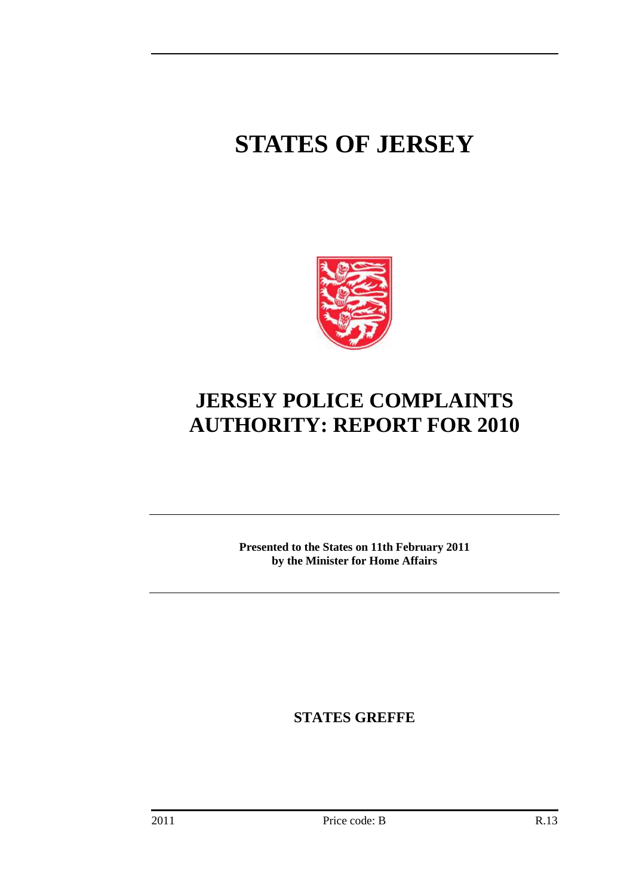# **STATES OF JERSEY**



## **JERSEY POLICE COMPLAINTS AUTHORITY: REPORT FOR 2010**

**Presented to the States on 11th February 2011 by the Minister for Home Affairs** 

**STATES GREFFE**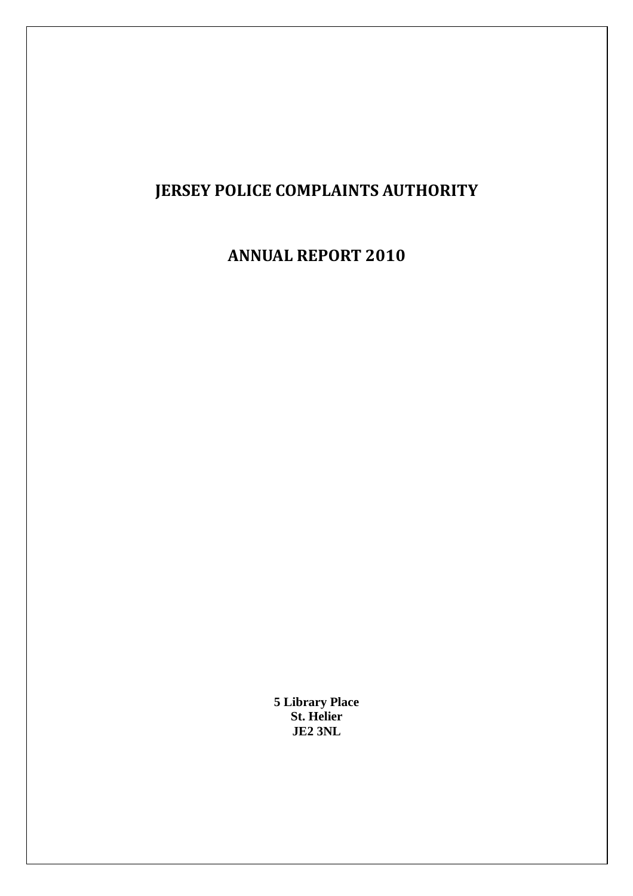## **JERSEY POLICE COMPLAINTS AUTHORITY**

## **ANNUAL REPORT 2010**

**5 Library Place St. Helier JE2 3NL**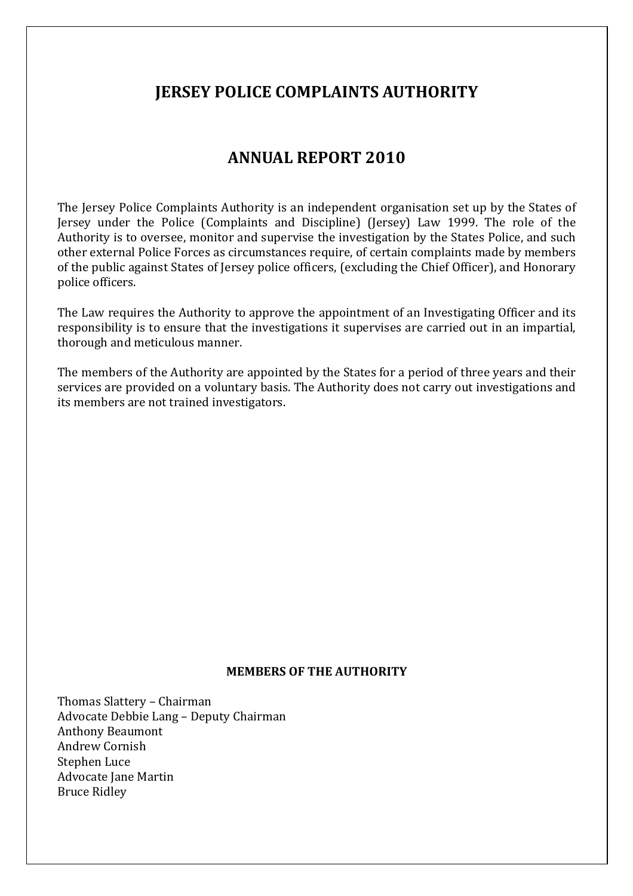## **JERSEY POLICE COMPLAINTS AUTHORITY**

## **ANNUAL REPORT 2010**

The Jersey Police Complaints Authority is an independent organisation set up by the States of Jersey under the Police (Complaints and Discipline) (Jersey) Law 1999. The role of the Authority is to oversee, monitor and supervise the investigation by the States Police, and such other external Police Forces as circumstances require, of certain complaints made by members of the public against States of Jersey police officers, (excluding the Chief Officer), and Honorary police officers.

The Law requires the Authority to approve the appointment of an Investigating Officer and its responsibility is to ensure that the investigations it supervises are carried out in an impartial, thorough and meticulous manner.

The members of the Authority are appointed by the States for a period of three years and their services are provided on a voluntary basis. The Authority does not carry out investigations and its members are not trained investigators.

#### **MEMBERS OF THE AUTHORITY**

Thomas Slattery – Chairman Advocate Debbie Lang – Deputy Chairman Anthony Beaumont Andrew Cornish Stephen Luce Advocate Jane Martin Bruce Ridley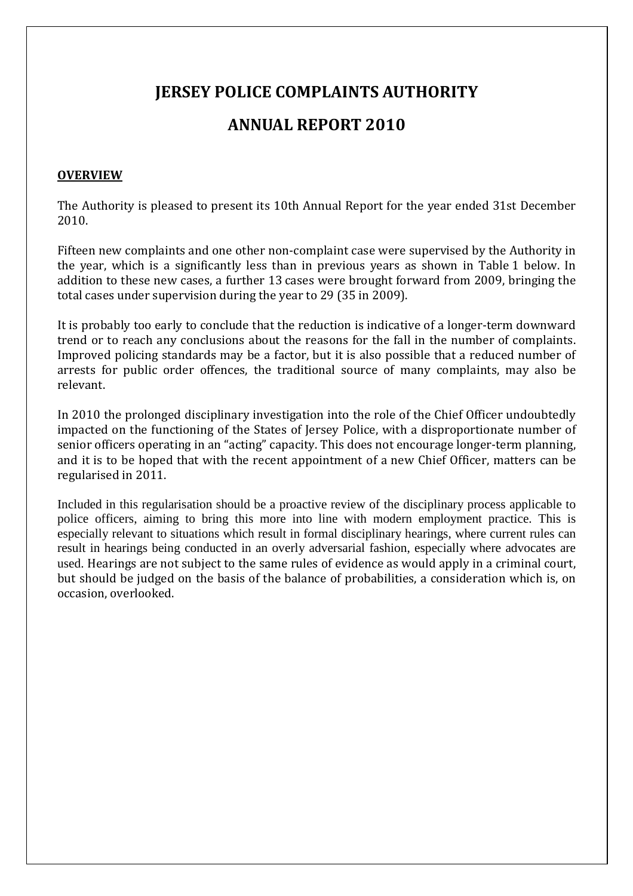## **JERSEY POLICE COMPLAINTS AUTHORITY**

## **ANNUAL REPORT 2010**

#### **OVERVIEW**

The Authority is pleased to present its 10th Annual Report for the year ended 31st December 2010.

Fifteen new complaints and one other non-complaint case were supervised by the Authority in the year, which is a significantly less than in previous years as shown in Table 1 below. In addition to these new cases, a further 13 cases were brought forward from 2009, bringing the total cases under supervision during the year to 29 (35 in 2009).

It is probably too early to conclude that the reduction is indicative of a longer-term downward trend or to reach any conclusions about the reasons for the fall in the number of complaints. Improved policing standards may be a factor, but it is also possible that a reduced number of arrests for public order offences, the traditional source of many complaints, may also be relevant.

In 2010 the prolonged disciplinary investigation into the role of the Chief Officer undoubtedly impacted on the functioning of the States of Jersey Police, with a disproportionate number of senior officers operating in an "acting" capacity. This does not encourage longer-term planning, and it is to be hoped that with the recent appointment of a new Chief Officer, matters can be regularised in 2011.

Included in this regularisation should be a proactive review of the disciplinary process applicable to police officers, aiming to bring this more into line with modern employment practice. This is especially relevant to situations which result in formal disciplinary hearings, where current rules can result in hearings being conducted in an overly adversarial fashion, especially where advocates are used. Hearings are not subject to the same rules of evidence as would apply in a criminal court, but should be judged on the basis of the balance of probabilities, a consideration which is, on occasion, overlooked.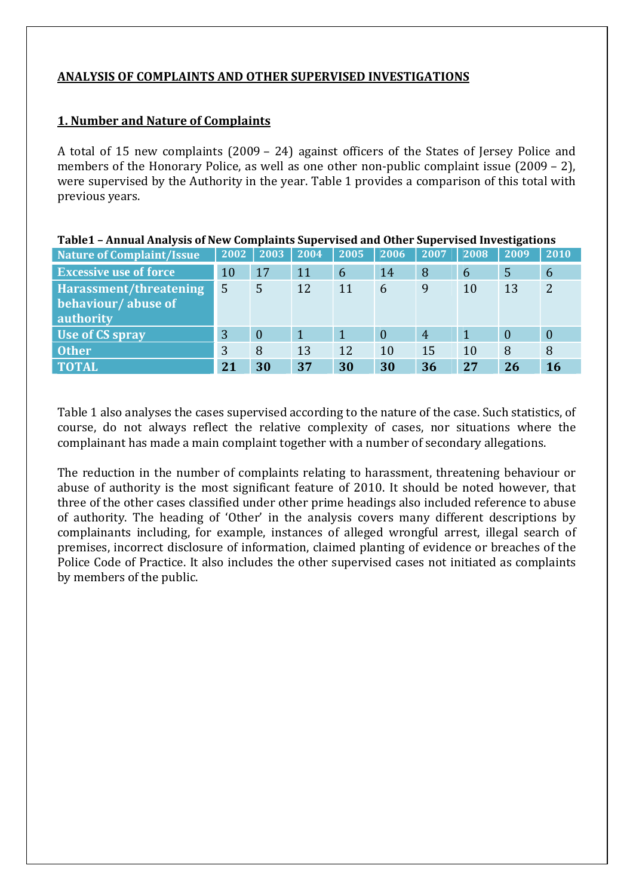#### **ANALYSIS OF COMPLAINTS AND OTHER SUPERVISED INVESTIGATIONS**

#### **1. Number and Nature of Complaints**

A total of 15 new complaints (2009 – 24) against officers of the States of Jersey Police and members of the Honorary Police, as well as one other non-public complaint issue (2009 – 2), were supervised by the Authority in the year. Table 1 provides a comparison of this total with previous years.

| Table1 - Annual Analysis of New Complaints Supervised and Other Supervised Investigations |      |                |      |      |          |                |      |                |                |  |  |
|-------------------------------------------------------------------------------------------|------|----------------|------|------|----------|----------------|------|----------------|----------------|--|--|
| <b>Nature of Complaint/Issue</b>                                                          | 2002 | 2003           | 2004 | 2005 | 2006     | 2007           | 2008 | 2009           | 2010           |  |  |
| <b>Excessive use of force</b>                                                             | 10   | 17             | 11   | 6    | 14       | 8              | 6    | 5              | 6              |  |  |
| Harassment/threatening                                                                    | 5    | 5              | 12   | 11   | 6        | 9              | 10   | 13             | $\overline{2}$ |  |  |
| behaviour/abuse of<br>authority                                                           |      |                |      |      |          |                |      |                |                |  |  |
| Use of CS spray                                                                           | 3    | $\overline{0}$ | 1    |      | $\Omega$ | $\overline{4}$ |      | $\overline{0}$ | $\overline{0}$ |  |  |
| <b>Other</b>                                                                              | 3    | 8              | 13   | 12   | 10       | 15             | 10   | 8              | 8              |  |  |
| <b>TOTAL</b>                                                                              | 21   | 30             | 37   | 30   | 30       | 36             | 27   | 26             | 16             |  |  |

Table 1 also analyses the cases supervised according to the nature of the case. Such statistics, of course, do not always reflect the relative complexity of cases, nor situations where the complainant has made a main complaint together with a number of secondary allegations.

The reduction in the number of complaints relating to harassment, threatening behaviour or abuse of authority is the most significant feature of 2010. It should be noted however, that three of the other cases classified under other prime headings also included reference to abuse of authority. The heading of 'Other' in the analysis covers many different descriptions by complainants including, for example, instances of alleged wrongful arrest, illegal search of premises, incorrect disclosure of information, claimed planting of evidence or breaches of the Police Code of Practice. It also includes the other supervised cases not initiated as complaints by members of the public.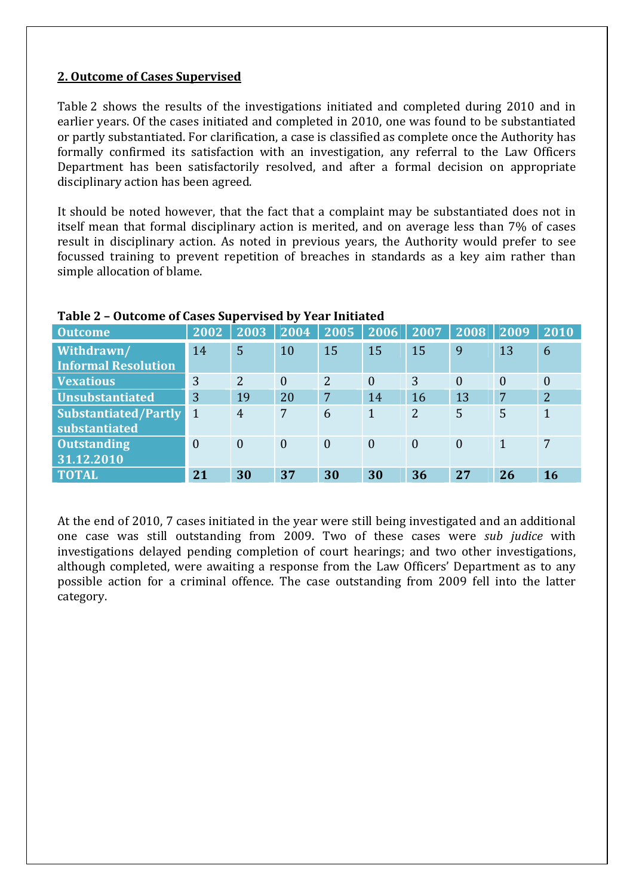#### **2. Outcome of Cases Supervised**

Table 2 shows the results of the investigations initiated and completed during 2010 and in earlier years. Of the cases initiated and completed in 2010, one was found to be substantiated or partly substantiated. For clarification, a case is classified as complete once the Authority has formally confirmed its satisfaction with an investigation, any referral to the Law Officers Department has been satisfactorily resolved, and after a formal decision on appropriate disciplinary action has been agreed.

It should be noted however, that the fact that a complaint may be substantiated does not in itself mean that formal disciplinary action is merited, and on average less than 7% of cases result in disciplinary action. As noted in previous years, the Authority would prefer to see focussed training to prevent repetition of breaches in standards as a key aim rather than simple allocation of blame.

| <b>Outcome</b>                               | 2002           | 2003           | 2004           | 2005           | 2006         | 2007           | 2008           | 2009           | 2010           |
|----------------------------------------------|----------------|----------------|----------------|----------------|--------------|----------------|----------------|----------------|----------------|
| Withdrawn/<br><b>Informal Resolution</b>     | 14             | 5              | 10             | 15             | 15           | 15             | 9              | 13             | 6              |
| <b>Vexatious</b>                             | 3              | $\overline{2}$ | $\theta$       | 2              | $\mathbf{0}$ | 3              | $\overline{0}$ | $\overline{0}$ | $\theta$       |
| <b>Unsubstantiated</b>                       | 3              | 19             | 20             | 7              | 14           | 16             | 13             | 7              | $\overline{2}$ |
| <b>Substantiated/Partly</b><br>substantiated | 1              | $\overline{4}$ | 7              | 6              | $\mathbf{1}$ | $\overline{2}$ | 5              | 5              | $\mathbf{1}$   |
| <b>Outstanding</b><br>31.12.2010             | $\overline{0}$ | $\overline{0}$ | $\overline{0}$ | $\overline{0}$ | $\theta$     | $\theta$       | $\theta$       | 1              | 7              |
| <b>TOTAL</b>                                 | 21             | 30             | 37             | 30             | 30           | 36             | 27             | 26             | <b>16</b>      |

#### **Table 2 – Outcome of Cases Supervised by Year Initiated**

At the end of 2010, 7 cases initiated in the year were still being investigated and an additional one case was still outstanding from 2009. Two of these cases were *sub judice* with investigations delayed pending completion of court hearings; and two other investigations, although completed, were awaiting a response from the Law Officers' Department as to any possible action for a criminal offence. The case outstanding from 2009 fell into the latter category.